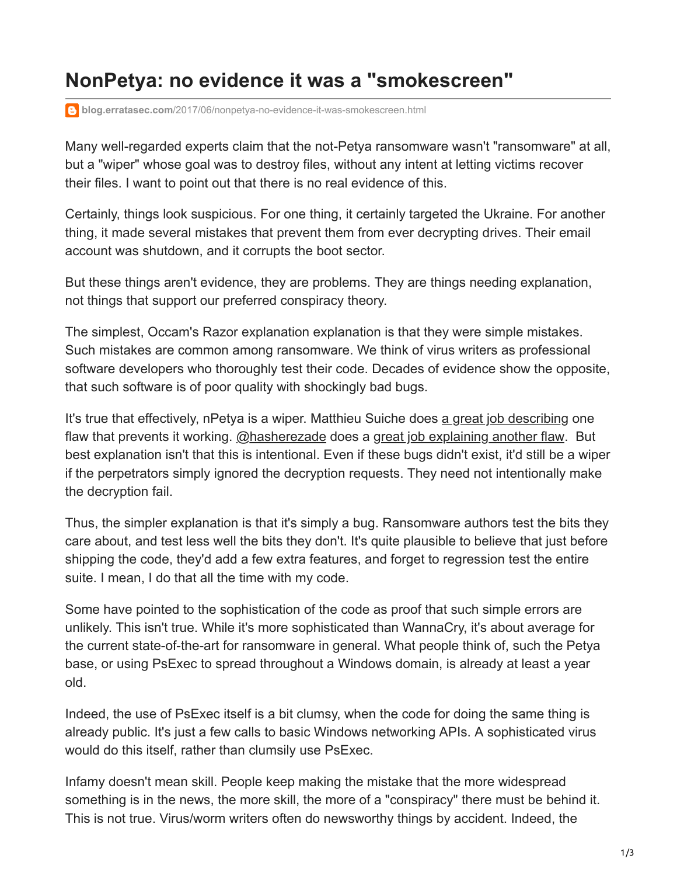## **NonPetya: no evidence it was a "smokescreen"**

**blog.erratasec.com**[/2017/06/nonpetya-no-evidence-it-was-smokescreen.html](http://blog.erratasec.com/2017/06/nonpetya-no-evidence-it-was-smokescreen.html)

Many well-regarded experts claim that the not-Petya ransomware wasn't "ransomware" at all, but a "wiper" whose goal was to destroy files, without any intent at letting victims recover their files. I want to point out that there is no real evidence of this.

Certainly, things look suspicious. For one thing, it certainly targeted the Ukraine. For another thing, it made several mistakes that prevent them from ever decrypting drives. Their email account was shutdown, and it corrupts the boot sector.

But these things aren't evidence, they are problems. They are things needing explanation, not things that support our preferred conspiracy theory.

The simplest, Occam's Razor explanation explanation is that they were simple mistakes. Such mistakes are common among ransomware. We think of virus writers as professional software developers who thoroughly test their code. Decades of evidence show the opposite, that such software is of poor quality with shockingly bad bugs.

It's true that effectively, nPetya is a wiper. Matthieu Suiche does [a great job describing](https://blog.comae.io/petya-2017-is-a-wiper-not-a-ransomware-9ea1d8961d3b) one flaw that prevents it working. [@hasherezade](https://twitter.com/Hasherezade) does a [great job explaining another flaw.](https://blog.malwarebytes.com/threat-analysis/2017/06/eternalpetya-lost-salsa20-key/) But best explanation isn't that this is intentional. Even if these bugs didn't exist, it'd still be a wiper if the perpetrators simply ignored the decryption requests. They need not intentionally make the decryption fail.

Thus, the simpler explanation is that it's simply a bug. Ransomware authors test the bits they care about, and test less well the bits they don't. It's quite plausible to believe that just before shipping the code, they'd add a few extra features, and forget to regression test the entire suite. I mean, I do that all the time with my code.

Some have pointed to the sophistication of the code as proof that such simple errors are unlikely. This isn't true. While it's more sophisticated than WannaCry, it's about average for the current state-of-the-art for ransomware in general. What people think of, such the Petya base, or using PsExec to spread throughout a Windows domain, is already at least a year old.

Indeed, the use of PsExec itself is a bit clumsy, when the code for doing the same thing is already public. It's just a few calls to basic Windows networking APIs. A sophisticated virus would do this itself, rather than clumsily use PsExec.

Infamy doesn't mean skill. People keep making the mistake that the more widespread something is in the news, the more skill, the more of a "conspiracy" there must be behind it. This is not true. Virus/worm writers often do newsworthy things by accident. Indeed, the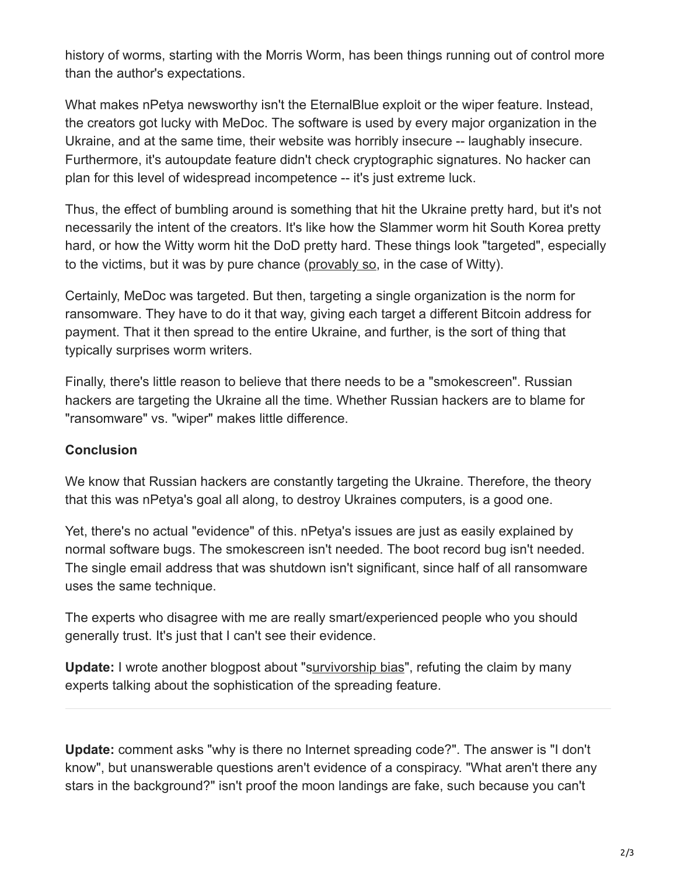history of worms, starting with the Morris Worm, has been things running out of control more than the author's expectations.

What makes nPetya newsworthy isn't the EternalBlue exploit or the wiper feature. Instead, the creators got lucky with MeDoc. The software is used by every major organization in the Ukraine, and at the same time, their website was horribly insecure -- laughably insecure. Furthermore, it's autoupdate feature didn't check cryptographic signatures. No hacker can plan for this level of widespread incompetence -- it's just extreme luck.

Thus, the effect of bumbling around is something that hit the Ukraine pretty hard, but it's not necessarily the intent of the creators. It's like how the Slammer worm hit South Korea pretty hard, or how the Witty worm hit the DoD pretty hard. These things look "targeted", especially to the victims, but it was by pure chance ([provably so](http://blog.erratasec.com/2014/03/witty-worm-no-seed-population-involved.html), in the case of Witty).

Certainly, MeDoc was targeted. But then, targeting a single organization is the norm for ransomware. They have to do it that way, giving each target a different Bitcoin address for payment. That it then spread to the entire Ukraine, and further, is the sort of thing that typically surprises worm writers.

Finally, there's little reason to believe that there needs to be a "smokescreen". Russian hackers are targeting the Ukraine all the time. Whether Russian hackers are to blame for "ransomware" vs. "wiper" makes little difference.

## **Conclusion**

We know that Russian hackers are constantly targeting the Ukraine. Therefore, the theory that this was nPetya's goal all along, to destroy Ukraines computers, is a good one.

Yet, there's no actual "evidence" of this. nPetya's issues are just as easily explained by normal software bugs. The smokescreen isn't needed. The boot record bug isn't needed. The single email address that was shutdown isn't significant, since half of all ransomware uses the same technique.

The experts who disagree with me are really smart/experienced people who you should generally trust. It's just that I can't see their evidence.

**Update:** I wrote another blogpost about "s[urvivorship bias](http://blog.erratasec.com/2017/07/yet-more-reasons-to-disagree-with.html)", refuting the claim by many experts talking about the sophistication of the spreading feature.

**Update:** comment asks "why is there no Internet spreading code?". The answer is "I don't know", but unanswerable questions aren't evidence of a conspiracy. "What aren't there any stars in the background?" isn't proof the moon landings are fake, such because you can't